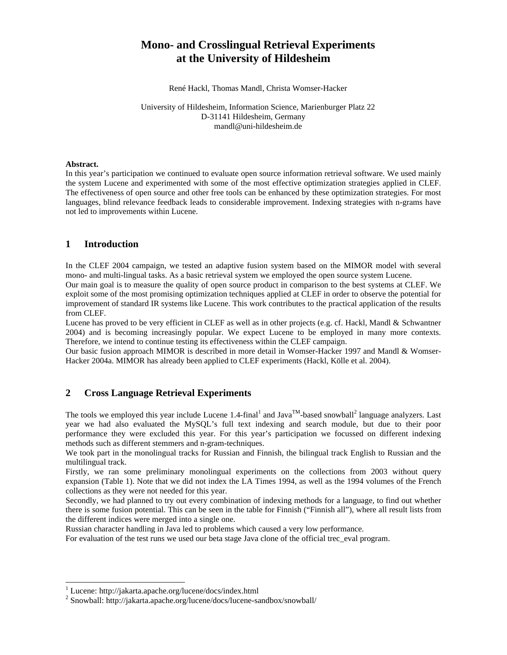# **Mono- and Crosslingual Retrieval Experiments at the University of Hildesheim**

René Hackl, Thomas Mandl, Christa Womser-Hacker

University of Hildesheim, Information Science, Marienburger Platz 22 D-31141 Hildesheim, Germany mandl@uni-hildesheim.de

#### **Abstract.**

In this year's participation we continued to evaluate open source information retrieval software. We used mainly the system Lucene and experimented with some of the most effective optimization strategies applied in CLEF. The effectiveness of open source and other free tools can be enhanced by these optimization strategies. For most languages, blind relevance feedback leads to considerable improvement. Indexing strategies with n-grams have not led to improvements within Lucene.

## **1 Introduction**

In the CLEF 2004 campaign, we tested an adaptive fusion system based on the MIMOR model with several mono- and multi-lingual tasks. As a basic retrieval system we employed the open source system Lucene.

Our main goal is to measure the quality of open source product in comparison to the best systems at CLEF. We exploit some of the most promising optimization techniques applied at CLEF in order to observe the potential for improvement of standard IR systems like Lucene. This work contributes to the practical application of the results from CLEF.

Lucene has proved to be very efficient in CLEF as well as in other projects (e.g. cf. Hackl, Mandl & Schwantner 2004) and is becoming increasingly popular. We expect Lucene to be employed in many more contexts. Therefore, we intend to continue testing its effectiveness within the CLEF campaign.

Our basic fusion approach MIMOR is described in more detail in Womser-Hacker 1997 and Mandl & Womser-Hacker 2004a. MIMOR has already been applied to CLEF experiments (Hackl, Kölle et al. 2004).

# **2 Cross Language Retrieval Experiments**

The tools we employed this year include Lucene 1.4-final<sup>1</sup> and Java<sup>TM</sup>-based snowball<sup>2</sup> language analyzers. Last year we had also evaluated the MySQL's full text indexing and search module, but due to their poor performance they were excluded this year. For this year's participation we focussed on different indexing methods such as different stemmers and n-gram-techniques.

We took part in the monolingual tracks for Russian and Finnish, the bilingual track English to Russian and the multilingual track.

Firstly, we ran some preliminary monolingual experiments on the collections from 2003 without query expansion (Table 1). Note that we did not index the LA Times 1994, as well as the 1994 volumes of the French collections as they were not needed for this year.

Secondly, we had planned to try out every combination of indexing methods for a language, to find out whether there is some fusion potential. This can be seen in the table for Finnish ("Finnish all"), where all result lists from the different indices were merged into a single one.

Russian character handling in Java led to problems which caused a very low performance.

For evaluation of the test runs we used our beta stage Java clone of the official trec\_eval program.

-

<sup>1</sup> Lucene: http://jakarta.apache.org/lucene/docs/index.html

<sup>2</sup> Snowball: http://jakarta.apache.org/lucene/docs/lucene-sandbox/snowball/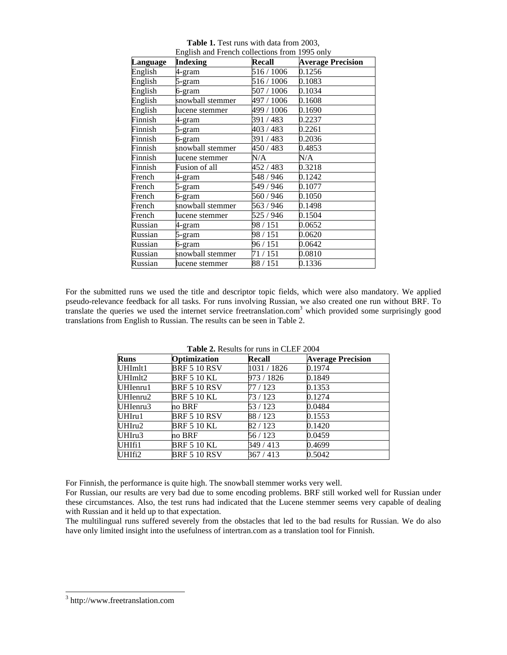|          | English and French collections from 1995 only |            |                          |
|----------|-----------------------------------------------|------------|--------------------------|
| Language | <b>Indexing</b>                               | Recall     | <b>Average Precision</b> |
| English  | 4-gram                                        | 516 / 1006 | 0.1256                   |
| English  | 5-gram                                        | 516 / 1006 | 0.1083                   |
| English  | 6-gram                                        | 507 / 1006 | 0.1034                   |
| English  | snowball stemmer                              | 497 / 1006 | 0.1608                   |
| English  | lucene stemmer                                | 499 / 1006 | 0.1690                   |
| Finnish  | 4-gram                                        | 391 / 483  | 0.2237                   |
| Finnish  | 5-gram                                        | 403 / 483  | 0.2261                   |
| Finnish  | 6-gram                                        | 391 / 483  | 0.2036                   |
| Finnish  | snowball stemmer                              | 450 / 483  | 0.4853                   |
| Finnish  | lucene stemmer                                | N/A        | N/A                      |
| Finnish  | Fusion of all                                 | 452 / 483  | 0.3218                   |
| French   | 4-gram                                        | 548 / 946  | 0.1242                   |
| French   | 5-gram                                        | 549 / 946  | 0.1077                   |
| French   | 6-gram                                        | 560 / 946  | 0.1050                   |
| French   | snowball stemmer                              | 563/946    | 0.1498                   |
| French   | lucene stemmer                                | 525 / 946  | 0.1504                   |
| Russian  | 4-gram                                        | 98 / 151   | 0.0652                   |
| Russian  | 5-gram                                        | 98 / 151   | 0.0620                   |
| Russian  | 6-gram                                        | 96 / 151   | 0.0642                   |
| Russian  | snowball stemmer                              | 71 / 151   | 0.0810                   |
| Russian  | lucene stemmer                                | 88 / 151   | 0.1336                   |

**Table 1.** Test runs with data from 2003, nd French collections from 1995

For the submitted runs we used the title and descriptor topic fields, which were also mandatory. We applied pseudo-relevance feedback for all tasks. For runs involving Russian, we also created one run without BRF. To translate the queries we used the internet service freetranslation.com<sup>3</sup> which provided some surprisingly good translations from English to Russian. The results can be seen in Table 2.

| <b>Runs</b> | Optimization        | <b>Recall</b> | <b>Average Precision</b> |  |
|-------------|---------------------|---------------|--------------------------|--|
| UHImlt1     | <b>BRF 5 10 RSV</b> | 1031/1826     | 0.1974                   |  |
| UHImlt2     | <b>BRF 5 10 KL</b>  | 973 / 1826    | 0.1849                   |  |
| UHIenru1    | <b>BRF 5 10 RSV</b> | 77 / 123      | 0.1353                   |  |
| UHIenru2    | BRF 5 10 KL         | 73 / 123      | 0.1274                   |  |
| UHIenru3    | no BRF              | 53/123        | 0.0484                   |  |
| UHIru1      | <b>BRF 5 10 RSV</b> | 88/123        | 0.1553                   |  |
| UHIru2      | <b>BRF 5 10 KL</b>  | 82/123        | 0.1420                   |  |
| UHIru3      | no BRF              | 56 / 123      | 0.0459                   |  |
| UHIfi1      | <b>BRF 5 10 KL</b>  | 349 / 413     | 0.4699                   |  |
| UHIfi2      | <b>BRF 5 10 RSV</b> | 367/413       | 0.5042                   |  |

**Table 2.** Results for runs in CLEF 2004

For Finnish, the performance is quite high. The snowball stemmer works very well.

For Russian, our results are very bad due to some encoding problems. BRF still worked well for Russian under these circumstances. Also, the test runs had indicated that the Lucene stemmer seems very capable of dealing with Russian and it held up to that expectation.

The multilingual runs suffered severely from the obstacles that led to the bad results for Russian. We do also have only limited insight into the usefulness of intertran.com as a translation tool for Finnish.

-

<sup>3</sup> http://www.freetranslation.com